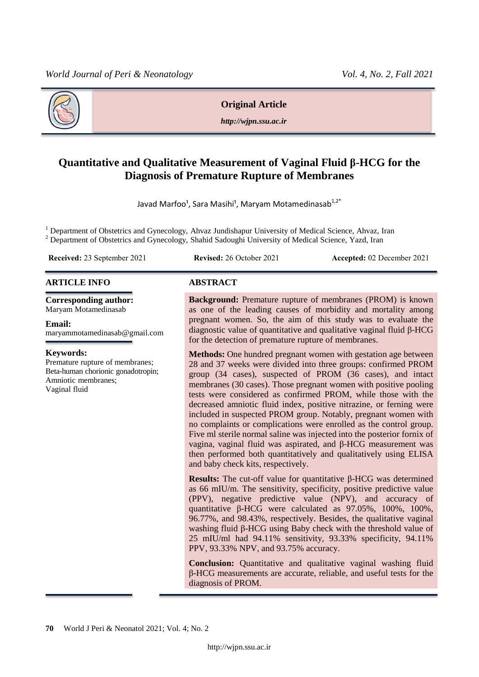

**Original Article**

*http://wjpn.ssu.ac.ir*

# **Quantitative and Qualitative Measurement of Vaginal Fluid β-HCG for the Diagnosis of Premature Rupture of Membranes**

Javad Marfoo<sup>1</sup>, Sara Masihi<sup>1</sup>, Maryam Motamedinasab<sup>1,2\*</sup>

<sup>1</sup> Department of Obstetrics and Gynecology, Ahvaz Jundishapur University of Medical Science, Ahvaz, Iran <sup>2</sup> Department of Obstetrics and Gynecology, Shahid Sadoughi University of Medical Science, Yazd, Iran

**Received:** 23 September 2021 **Revised:** 26 October 2021 **Accepted:** 02 December 2021

### **ARTICLE INFO ABSTRACT**

**Corresponding author:** Maryam Motamedinasab

#### **Email:**

maryammotamedinasab@gmail.com

#### **Keywords:**

Premature rupture of membranes; Beta-human chorionic gonadotropin; Amniotic membranes; Vaginal fluid

**Background:** Premature rupture of membranes (PROM) is known as one of the leading causes of morbidity and mortality among pregnant women. So, the aim of this study was to evaluate the diagnostic value of quantitative and qualitative vaginal fluid β-HCG for the detection of premature rupture of membranes.

**Methods:** One hundred pregnant women with gestation age between 28 and 37 weeks were divided into three groups: confirmed PROM group (34 cases), suspected of PROM (36 cases), and intact membranes (30 cases). Those pregnant women with positive pooling tests were considered as confirmed PROM, while those with the decreased amniotic fluid index, positive nitrazine, or ferning were included in suspected PROM group. Notably, pregnant women with no complaints or complications were enrolled as the control group. Five ml sterile normal saline was injected into the posterior fornix of vagina, vaginal fluid was aspirated, and β-HCG measurement was then performed both quantitatively and qualitatively using ELISA and baby check kits, respectively.

**Results:** The cut-off value for quantitative β-HCG was determined as 66 mIU/m. The sensitivity, specificity, positive predictive value (PPV), negative predictive value (NPV), and accuracy of quantitative β-HCG were calculated as 97.05%, 100%, 100%, 96.77%, and 98.43%, respectively. Besides, the qualitative vaginal washing fluid β-HCG using Baby check with the threshold value of 25 mIU/ml had 94.11% sensitivity, 93.33% specificity, 94.11% PPV, 93.33% NPV, and 93.75% accuracy.

**Conclusion:** Quantitative and qualitative vaginal washing fluid β-HCG measurements are accurate, reliable, and useful tests for the diagnosis of PROM.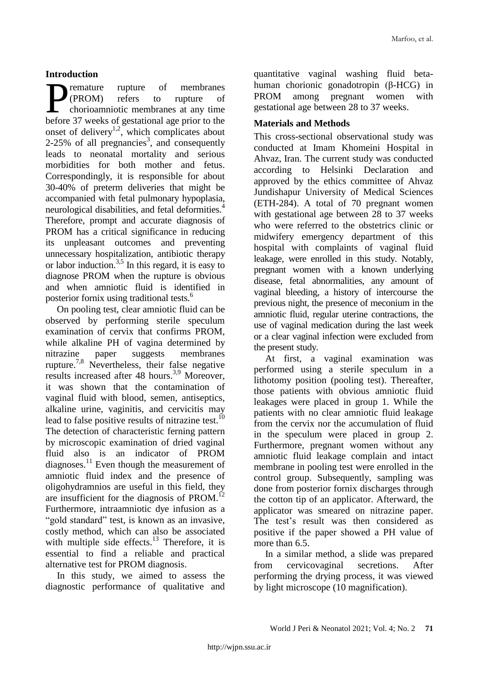## **Introduction**

remature rupture of membranes (PROM) refers to rupture of chorioamniotic membranes at any time **before 37** weeks of gestational age prior to the before 37 weeks of gestational age prior to the onset of delivery<sup>1,2</sup>, which complicates about 2-25% of all pregnancies<sup>3</sup>, and consequently leads to neonatal mortality and serious morbidities for both mother and fetus. Correspondingly, it is responsible for about 30-40% of preterm deliveries that might be accompanied with fetal pulmonary hypoplasia, neurological disabilities, and fetal deformities. 4 Therefore, prompt and accurate diagnosis of PROM has a critical significance in reducing its unpleasant outcomes and preventing unnecessary hospitalization, antibiotic therapy or labor induction.<sup>3,5</sup> In this regard, it is easy to diagnose PROM when the rupture is obvious and when amniotic fluid is identified in posterior fornix using traditional tests.<sup>6</sup>

On pooling test, clear amniotic fluid can be observed by performing sterile speculum examination of cervix that confirms PROM, while alkaline PH of vagina determined by nitrazine paper suggests membranes rupture.<sup>7,8</sup> Nevertheless, their false negative results increased after 48 hours.<sup>3,9</sup> Moreover, it was shown that the contamination of vaginal fluid with blood, semen, antiseptics, alkaline urine, vaginitis, and cervicitis may lead to false positive results of nitrazine test.<sup>10</sup> The detection of characteristic ferning pattern by microscopic examination of dried vaginal fluid also is an indicator of PROM diagnoses.<sup>11</sup> Even though the measurement of amniotic fluid index and the presence of oligohydramnios are useful in this field, they are insufficient for the diagnosis of PROM.<sup>12</sup> Furthermore, intraamniotic dye infusion as a "gold standard" test, is known as an invasive, costly method, which can also be associated with multiple side effects.<sup>13</sup> Therefore, it is essential to find a reliable and practical alternative test for PROM diagnosis.

In this study, we aimed to assess the diagnostic performance of qualitative and

quantitative vaginal washing fluid betahuman chorionic gonadotropin (β-HCG) in PROM among pregnant women with gestational age between 28 to 37 weeks.

## **Materials and Methods**

This cross-sectional observational study was conducted at Imam Khomeini Hospital in Ahvaz, Iran. The current study was conducted according to Helsinki Declaration and approved by the ethics committee of Ahvaz Jundishapur University of Medical Sciences (ETH-284). A total of 70 pregnant women with gestational age between 28 to 37 weeks who were referred to the obstetrics clinic or midwifery emergency department of this hospital with complaints of vaginal fluid leakage, were enrolled in this study. Notably, pregnant women with a known underlying disease, fetal abnormalities, any amount of vaginal bleeding, a history of intercourse the previous night, the presence of meconium in the amniotic fluid, regular uterine contractions, the use of vaginal medication during the last week or a clear vaginal infection were excluded from the present study.

At first, a vaginal examination was performed using a sterile speculum in a lithotomy position (pooling test). Thereafter, those patients with obvious amniotic fluid leakages were placed in group 1. While the patients with no clear amniotic fluid leakage from the cervix nor the accumulation of fluid in the speculum were placed in group 2. Furthermore, pregnant women without any amniotic fluid leakage complain and intact membrane in pooling test were enrolled in the control group. Subsequently, sampling was done from posterior fornix discharges through the cotton tip of an applicator. Afterward, the applicator was smeared on nitrazine paper. The test's result was then considered as positive if the paper showed a PH value of more than 6.5.

In a similar method, a slide was prepared from cervicovaginal secretions. After performing the drying process, it was viewed by light microscope (10 magnification).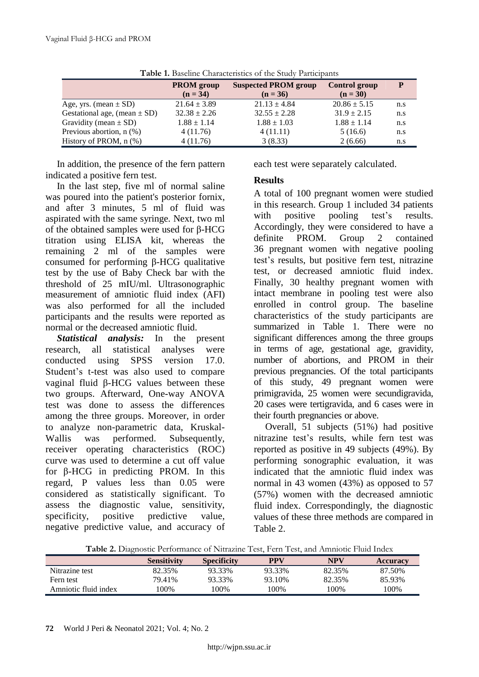| <b>T MOTO TO L</b> AND CHINE CHINE CONTROLLED OF THE CHARGE TO ALLIED AT THE LIGHT AND THE CHINALITY |                                 |                                           |                             |     |  |  |  |  |
|------------------------------------------------------------------------------------------------------|---------------------------------|-------------------------------------------|-----------------------------|-----|--|--|--|--|
|                                                                                                      | <b>PROM</b> group<br>$(n = 34)$ | <b>Suspected PROM group</b><br>$(n = 36)$ | Control group<br>$(n = 30)$ |     |  |  |  |  |
| Age, yrs. (mean $\pm$ SD)                                                                            | $21.64 \pm 3.89$                | $21.13 \pm 4.84$                          | $20.86 \pm 5.15$            | n.s |  |  |  |  |
| Gestational age, (mean $\pm$ SD)                                                                     | $32.38 \pm 2.26$                | $32.55 \pm 2.28$                          | $31.9 \pm 2.15$             | n.s |  |  |  |  |
| Gravidity (mean $\pm$ SD)                                                                            | $1.88 \pm 1.14$                 | $1.88 \pm 1.03$                           | $1.88 \pm 1.14$             | n.s |  |  |  |  |
| Previous abortion, $n$ $(\%)$                                                                        | 4(11.76)                        | 4(11.11)                                  | 5(16.6)                     | n.s |  |  |  |  |
| History of PROM, $n$ $(\%)$                                                                          | 4(11.76)                        | 3(8.33)                                   | 2(6.66)                     | n.s |  |  |  |  |

**Table 1.** Baseline Characteristics of the Study Participants

In addition, the presence of the fern pattern indicated a positive fern test.

In the last step, five ml of normal saline was poured into the patient's posterior fornix, and after 3 minutes, 5 ml of fluid was aspirated with the same syringe. Next, two ml of the obtained samples were used for β-HCG titration using ELISA kit, whereas the remaining 2 ml of the samples were consumed for performing β-HCG qualitative test by the use of Baby Check bar with the threshold of 25 mIU/ml. Ultrasonographic measurement of amniotic fluid index (AFI) was also performed for all the included participants and the results were reported as normal or the decreased amniotic fluid.

*Statistical analysis:* In the present research, all statistical analyses were conducted using SPSS version 17.0. Student's t-test was also used to compare vaginal fluid β-HCG values between these two groups. Afterward, One-way ANOVA test was done to assess the differences among the three groups. Moreover, in order to analyze non-parametric data, Kruskal-Wallis was performed. Subsequently, receiver operating characteristics (ROC) curve was used to determine a cut off value for β-HCG in predicting PROM. In this regard, P values less than 0.05 were considered as statistically significant. To assess the diagnostic value, sensitivity, specificity, positive predictive value, negative predictive value, and accuracy of each test were separately calculated.

## **Results**

A total of 100 pregnant women were studied in this research. Group 1 included 34 patients with positive pooling test's results. Accordingly, they were considered to have a definite PROM. Group 2 contained 36 pregnant women with negative pooling test's results, but positive fern test, nitrazine test, or decreased amniotic fluid index. Finally, 30 healthy pregnant women with intact membrane in pooling test were also enrolled in control group. The baseline characteristics of the study participants are summarized in Table 1. There were no significant differences among the three groups in terms of age, gestational age, gravidity, number of abortions, and PROM in their previous pregnancies. Of the total participants of this study, 49 pregnant women were primigravida, 25 women were secundigravida, 20 cases were tertigravida, and 6 cases were in their fourth pregnancies or above.

Overall, 51 subjects (51%) had positive nitrazine test's results, while fern test was reported as positive in 49 subjects (49%). By performing sonographic evaluation, it was indicated that the amniotic fluid index was normal in 43 women (43%) as opposed to 57 (57%) women with the decreased amniotic fluid index. Correspondingly, the diagnostic values of these three methods are compared in Table 2.

**Table 2.** Diagnostic Performance of Nitrazine Test, Fern Test, and Amniotic Fluid Index

|                      | <b>Sensitivity</b> | <b>Specificity</b> | PPV    | <b>NPV</b> | <b>Accuracy</b> |
|----------------------|--------------------|--------------------|--------|------------|-----------------|
| Nitrazine test       | 82.35%             | 93.33%             | 93.33% | 82.35%     | 87.50%          |
| Fern test            | 79.41%             | 93.33%             | 93.10% | 82.35%     | 85.93%          |
| Amniotic fluid index | 100%               | 100%               | 100%   | 100%       | 100%            |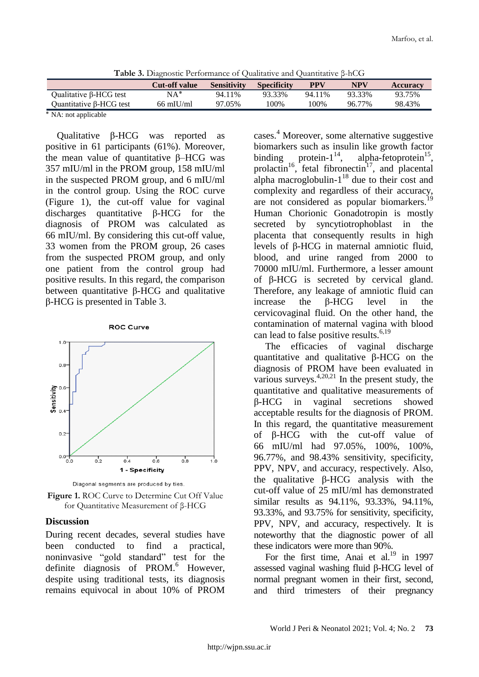| <b>Table 5.</b> Diagnostic Ferromiance of Quantative and Quantitative p-fit G |                      |                    |                    |        |        |                 |  |  |
|-------------------------------------------------------------------------------|----------------------|--------------------|--------------------|--------|--------|-----------------|--|--|
|                                                                               | <b>Cut-off value</b> | <b>Sensitivity</b> | <b>Specificity</b> | PPV    | NPV    | <b>Accuracy</b> |  |  |
| Qualitative β-HCG test                                                        | $NA^*$               | 94.11%             | 93.33%             | 94.11% | 93.33% | 93.75%          |  |  |
| Quantitative $\beta$ -HCG test                                                | $66$ mIU/ml          | 97.05%             | 100%               | 100%   | 96.77% | 98.43%          |  |  |
| .                                                                             |                      |                    |                    |        |        |                 |  |  |

**Table 3.** Diagnostic Performance of Qualitative and Quantitative β-hCG

٭ NA: not applicable

Qualitative β-HCG was reported as positive in 61 participants (61%). Moreover, the mean value of quantitative β–HCG was 357 mIU/ml in the PROM group, 158 mIU/ml in the suspected PROM group, and 6 mIU/ml in the control group. Using the ROC curve (Figure 1), the cut-off value for vaginal discharges quantitative β-HCG for the diagnosis of PROM was calculated as 66 mIU/ml. By considering this cut-off value, 33 women from the PROM group, 26 cases from the suspected PROM group, and only one patient from the control group had positive results. In this regard, the comparison between quantitative β-HCG and qualitative β-HCG is presented in Table 3.





**Figure 1.** ROC Curve to Determine Cut Off Value for Quantitative Measurement of β-HCG

### **Discussion**

During recent decades, several studies have been conducted to find a practical, noninvasive "gold standard" test for the definite diagnosis of PROM.<sup>6</sup> However, despite using traditional tests, its diagnosis remains equivocal in about 10% of PROM

cases. <sup>4</sup> Moreover, some alternative suggestive biomarkers such as insulin like growth factor binding protein- $1^{14}$ , alpha-fetoprotein<sup>15</sup>, prolactin<sup>16</sup>, fetal fibronectin<sup>17</sup>, and placental alpha macroglobulin- $1^{18}$  due to their cost and complexity and regardless of their accuracy, are not considered as popular biomarkers.<sup>19</sup> Human Chorionic Gonadotropin is mostly secreted by syncytiotrophoblast in the placenta that consequently results in high levels of β-HCG in maternal amniotic fluid, blood, and urine ranged from 2000 to 70000 mIU/ml. Furthermore, a lesser amount of β-HCG is secreted by cervical gland. Therefore, any leakage of amniotic fluid can increase the β-HCG level in the cervicovaginal fluid. On the other hand, the contamination of maternal vagina with blood can lead to false positive results.<sup>6,19</sup>

The efficacies of vaginal discharge quantitative and qualitative β-HCG on the diagnosis of PROM have been evaluated in various surveys. $4,20,21$  In the present study, the quantitative and qualitative measurements of β-HCG in vaginal secretions showed acceptable results for the diagnosis of PROM. In this regard, the quantitative measurement of β-HCG with the cut-off value of 66 mIU/ml had 97.05%, 100%, 100%, 96.77%, and 98.43% sensitivity, specificity, PPV, NPV, and accuracy, respectively. Also, the qualitative β-HCG analysis with the cut-off value of 25 mIU/ml has demonstrated similar results as 94.11%, 93.33%, 94.11%, 93.33%, and 93.75% for sensitivity, specificity, PPV, NPV, and accuracy, respectively. It is noteworthy that the diagnostic power of all these indicators were more than 90%.

For the first time, Anai et al.<sup>19</sup> in 1997 assessed vaginal washing fluid β-HCG level of normal pregnant women in their first, second, and third trimesters of their pregnancy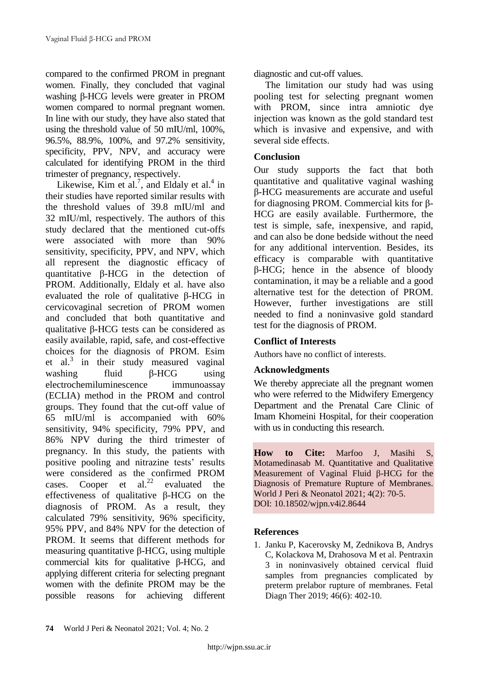compared to the confirmed PROM in pregnant women. Finally, they concluded that vaginal washing β-HCG levels were greater in PROM women compared to normal pregnant women. In line with our study, they have also stated that using the threshold value of 50 mIU/ml, 100%, 96.5%, 88.9%, 100%, and 97.2% sensitivity, specificity, PPV, NPV, and accuracy were calculated for identifying PROM in the third trimester of pregnancy, respectively.

Likewise, Kim et al.<sup>7</sup>, and Eldaly et al.<sup>4</sup> in their studies have reported similar results with the threshold values of 39.8 mIU/ml and 32 mIU/ml, respectively. The authors of this study declared that the mentioned cut-offs were associated with more than 90% sensitivity, specificity, PPV, and NPV, which all represent the diagnostic efficacy of quantitative β-HCG in the detection of PROM. Additionally, Eldaly et al. have also evaluated the role of qualitative β-HCG in cervicovaginal secretion of PROM women and concluded that both quantitative and qualitative β-HCG tests can be considered as easily available, rapid, safe, and cost-effective choices for the diagnosis of PROM. Esim et al.<sup>3</sup> in their study measured vaginal washing fluid β-HCG using electrochemiluminescence immunoassay (ECLIA) method in the PROM and control groups. They found that the cut-off value of 65 mIU/ml is accompanied with 60% sensitivity, 94% specificity, 79% PPV, and 86% NPV during the third trimester of pregnancy. In this study, the patients with positive pooling and nitrazine tests' results were considered as the confirmed PROM cases. Cooper et al. $22$  evaluated the cases. Cooper et al.<sup>22</sup> evaluated the effectiveness of qualitative β-HCG on the diagnosis of PROM. As a result, they calculated 79% sensitivity, 96% specificity, 95% PPV, and 84% NPV for the detection of PROM. It seems that different methods for measuring quantitative β-HCG, using multiple commercial kits for qualitative β-HCG, and applying different criteria for selecting pregnant women with the definite PROM may be the possible reasons for achieving different

diagnostic and cut-off values.

The limitation our study had was using pooling test for selecting pregnant women with PROM, since intra amniotic dye injection was known as the gold standard test which is invasive and expensive, and with several side effects.

# **Conclusion**

Our study supports the fact that both quantitative and qualitative vaginal washing β-HCG measurements are accurate and useful for diagnosing PROM. Commercial kits for β-HCG are easily available. Furthermore, the test is simple, safe, inexpensive, and rapid, and can also be done bedside without the need for any additional intervention. Besides, its efficacy is comparable with quantitative β-HCG; hence in the absence of bloody contamination, it may be a reliable and a good alternative test for the detection of PROM. However, further investigations are still needed to find a noninvasive gold standard test for the diagnosis of PROM.

# **Conflict of Interests**

Authors have no conflict of interests.

# **Acknowledgments**

We thereby appreciate all the pregnant women who were referred to the Midwifery Emergency Department and the Prenatal Care Clinic of Imam Khomeini Hospital, for their cooperation with us in conducting this research.

**How to Cite:** Marfoo J, Masihi S, Motamedinasab M. Quantitative and Qualitative Measurement of Vaginal Fluid β-HCG for the Diagnosis of Premature Rupture of Membranes. World J Peri & Neonatol 2021; 4(2): 70-5. DOI: 10.18502/wjpn.v4i2.8644

## **References**

1. Janku P, Kacerovsky M, Zednikova B, Andrys C, Kolackova M, Drahosova M et al. Pentraxin 3 in noninvasively obtained cervical fluid samples from pregnancies complicated by preterm prelabor rupture of membranes. Fetal Diagn Ther 2019; 46(6): 402-10.